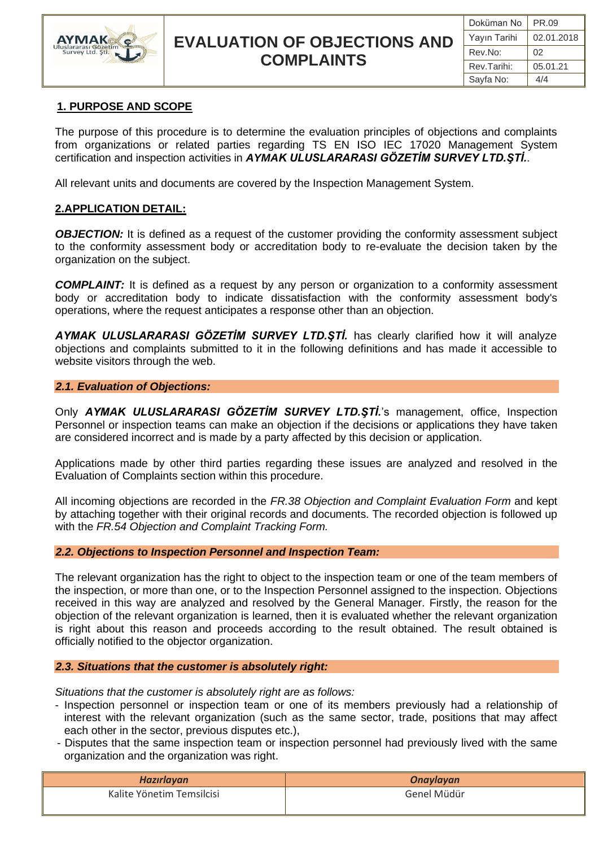

## **EVALUATION OF OBJECTIONS AND COMPLAINTS**

## **1. PURPOSE AND SCOPE**

The purpose of this procedure is to determine the evaluation principles of objections and complaints from organizations or related parties regarding TS EN ISO IEC 17020 Management System certification and inspection activities in *AYMAK ULUSLARARASI GÖZETİM SURVEY LTD.ŞTİ.*.

All relevant units and documents are covered by the Inspection Management System.

## **2.APPLICATION DETAIL:**

**OBJECTION:** It is defined as a request of the customer providing the conformity assessment subject to the conformity assessment body or accreditation body to re-evaluate the decision taken by the organization on the subject.

*COMPLAINT:* It is defined as a request by any person or organization to a conformity assessment body or accreditation body to indicate dissatisfaction with the conformity assessment body's operations, where the request anticipates a response other than an objection.

*AYMAK ULUSLARARASI GÖZETİM SURVEY LTD.ŞTİ.* has clearly clarified how it will analyze objections and complaints submitted to it in the following definitions and has made it accessible to website visitors through the web.

#### *2.1. Evaluation of Objections:*

Only *AYMAK ULUSLARARASI GÖZETİM SURVEY LTD.ŞTİ.*'s management, office, Inspection Personnel or inspection teams can make an objection if the decisions or applications they have taken are considered incorrect and is made by a party affected by this decision or application.

Applications made by other third parties regarding these issues are analyzed and resolved in the Evaluation of Complaints section within this procedure.

All incoming objections are recorded in the *FR.38 Objection and Complaint Evaluation Form* and kept by attaching together with their original records and documents. The recorded objection is followed up with the *FR.54 Objection and Complaint Tracking Form.*

## *2.2. Objections to Inspection Personnel and Inspection Team:*

The relevant organization has the right to object to the inspection team or one of the team members of the inspection, or more than one, or to the Inspection Personnel assigned to the inspection. Objections received in this way are analyzed and resolved by the General Manager. Firstly, the reason for the objection of the relevant organization is learned, then it is evaluated whether the relevant organization is right about this reason and proceeds according to the result obtained. The result obtained is officially notified to the objector organization.

## *2.3. Situations that the customer is absolutely right:*

*Situations that the customer is absolutely right are as follows:*

- Inspection personnel or inspection team or one of its members previously had a relationship of interest with the relevant organization (such as the same sector, trade, positions that may affect each other in the sector, previous disputes etc.),
- Disputes that the same inspection team or inspection personnel had previously lived with the same organization and the organization was right.

| Hazırlayan                | <b>Onaylayan</b> |
|---------------------------|------------------|
| Kalite Yönetim Temsilcisi | Genel Müdür      |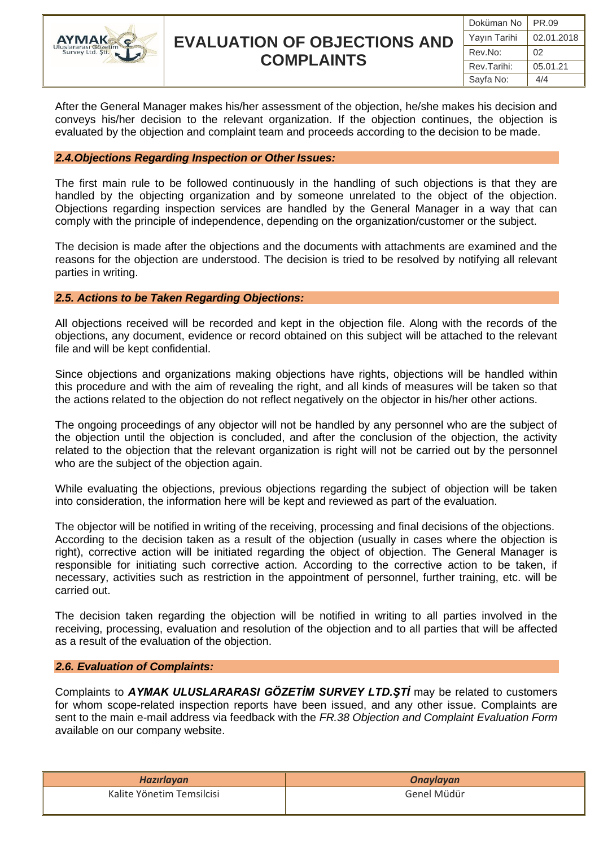

# **EVALUATION OF OBJECTIONS AND COMPLAINTS**

After the General Manager makes his/her assessment of the objection, he/she makes his decision and conveys his/her decision to the relevant organization. If the objection continues, the objection is evaluated by the objection and complaint team and proceeds according to the decision to be made.

#### *2.4.Objections Regarding Inspection or Other Issues:*

The first main rule to be followed continuously in the handling of such objections is that they are handled by the objecting organization and by someone unrelated to the object of the objection. Objections regarding inspection services are handled by the General Manager in a way that can comply with the principle of independence, depending on the organization/customer or the subject.

The decision is made after the objections and the documents with attachments are examined and the reasons for the objection are understood. The decision is tried to be resolved by notifying all relevant parties in writing.

## *2.5. Actions to be Taken Regarding Objections:*

All objections received will be recorded and kept in the objection file. Along with the records of the objections, any document, evidence or record obtained on this subject will be attached to the relevant file and will be kept confidential.

Since objections and organizations making objections have rights, objections will be handled within this procedure and with the aim of revealing the right, and all kinds of measures will be taken so that the actions related to the objection do not reflect negatively on the objector in his/her other actions.

The ongoing proceedings of any objector will not be handled by any personnel who are the subject of the objection until the objection is concluded, and after the conclusion of the objection, the activity related to the objection that the relevant organization is right will not be carried out by the personnel who are the subject of the objection again.

While evaluating the objections, previous objections regarding the subject of objection will be taken into consideration, the information here will be kept and reviewed as part of the evaluation.

The objector will be notified in writing of the receiving, processing and final decisions of the objections. According to the decision taken as a result of the objection (usually in cases where the objection is right), corrective action will be initiated regarding the object of objection. The General Manager is responsible for initiating such corrective action. According to the corrective action to be taken, if necessary, activities such as restriction in the appointment of personnel, further training, etc. will be carried out.

The decision taken regarding the objection will be notified in writing to all parties involved in the receiving, processing, evaluation and resolution of the objection and to all parties that will be affected as a result of the evaluation of the objection.

## *2.6. Evaluation of Complaints:*

Complaints to *AYMAK ULUSLARARASI GÖZETİM SURVEY LTD.ŞTİ* may be related to customers for whom scope-related inspection reports have been issued, and any other issue. Complaints are sent to the main e-mail address via feedback with the *FR.38 Objection and Complaint Evaluation Form* available on our company website.

| Hazırlayan                | <b>Onaylayan</b> |
|---------------------------|------------------|
| Kalite Yönetim Temsilcisi | Genel Müdür      |